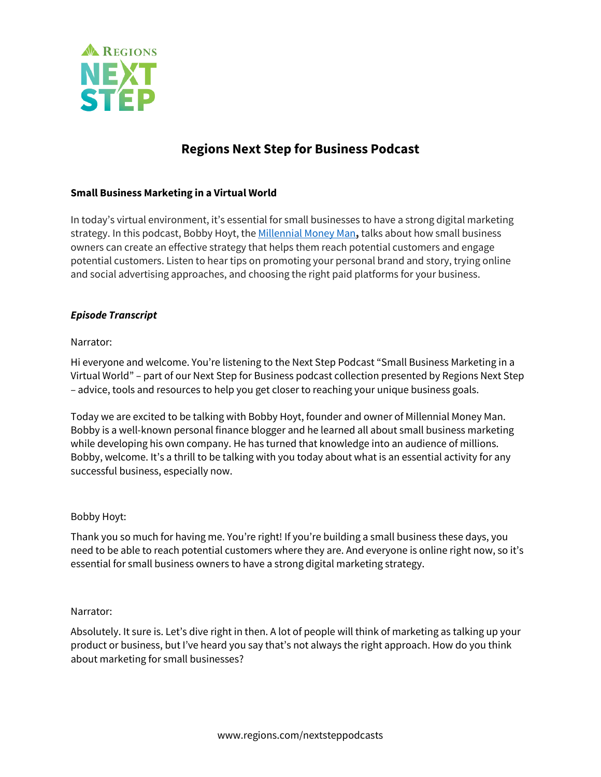

# **Regions Next Step for Business Podcast**

# **Small Business Marketing in a Virtual World**

In today's virtual environment, it's essential for small businesses to have a strong digital marketing strategy. In this podcast, Bobby Hoyt, the Millennial Money Man**,** talks about how small business owners can create an effective strategy that helps them reach potential customers and engage potential customers. Listen to hear tips on promoting your personal brand and story, trying online and social advertising approaches, and choosing the right paid platforms for your business.

#### *Episode Transcript*

#### Narrator:

Hi everyone and welcome. You're listening to the Next Step Podcast "Small Business Marketing in a Virtual World" – part of our Next Step for Business podcast collection presented by Regions Next Step – advice, tools and resources to help you get closer to reaching your unique business goals.

Today we are excited to be talking with Bobby Hoyt, founder and owner of Millennial Money Man. Bobby is a well-known personal finance blogger and he learned all about small business marketing while developing his own company. He has turned that knowledge into an audience of millions. Bobby, welcome. It's a thrill to be talking with you today about what is an essential activity for any successful business, especially now.

#### Bobby Hoyt:

Thank you so much for having me. You're right! If you're building a small business these days, you need to be able to reach potential customers where they are. And everyone is online right now, so it's essential for small business owners to have a strong digital marketing strategy.

#### Narrator:

Absolutely. It sure is. Let's dive right in then. A lot of people will think of marketing as talking up your product or business, but I've heard you say that's not always the right approach. How do you think about marketing for small businesses?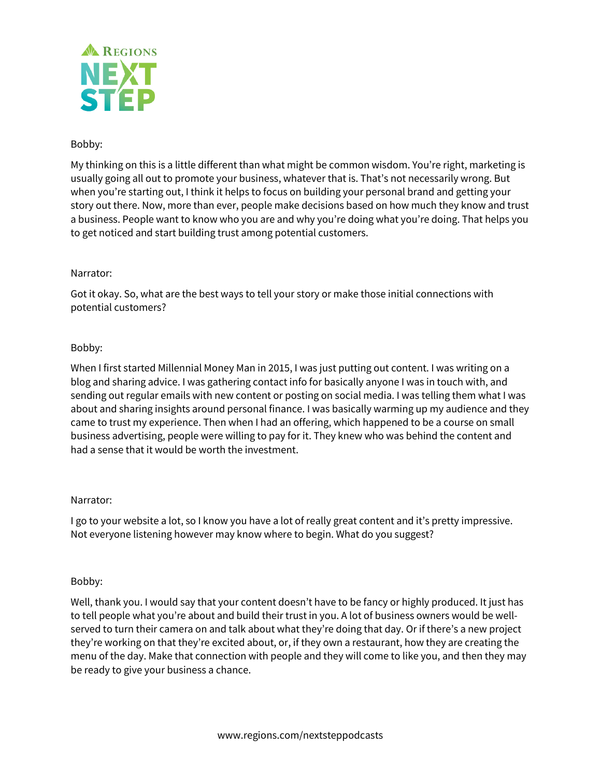

# Bobby:

My thinking on this is a little different than what might be common wisdom. You're right, marketing is usually going all out to promote your business, whatever that is. That's not necessarily wrong. But when you're starting out, I think it helps to focus on building your personal brand and getting your story out there. Now, more than ever, people make decisions based on how much they know and trust a business. People want to know who you are and why you're doing what you're doing. That helps you to get noticed and start building trust among potential customers.

# Narrator:

Got it okay. So, what are the best ways to tell your story or make those initial connections with potential customers?

# Bobby:

When I first started Millennial Money Man in 2015, I was just putting out content. I was writing on a blog and sharing advice. I was gathering contact info for basically anyone I was in touch with, and sending out regular emails with new content or posting on social media. I was telling them what I was about and sharing insights around personal finance. I was basically warming up my audience and they came to trust my experience. Then when I had an offering, which happened to be a course on small business advertising, people were willing to pay for it. They knew who was behind the content and had a sense that it would be worth the investment.

# Narrator:

I go to your website a lot, so I know you have a lot of really great content and it's pretty impressive. Not everyone listening however may know where to begin. What do you suggest?

# Bobby:

Well, thank you. I would say that your content doesn't have to be fancy or highly produced. It just has to tell people what you're about and build their trust in you. A lot of business owners would be wellserved to turn their camera on and talk about what they're doing that day. Or if there's a new project they're working on that they're excited about, or, if they own a restaurant, how they are creating the menu of the day. Make that connection with people and they will come to like you, and then they may be ready to give your business a chance.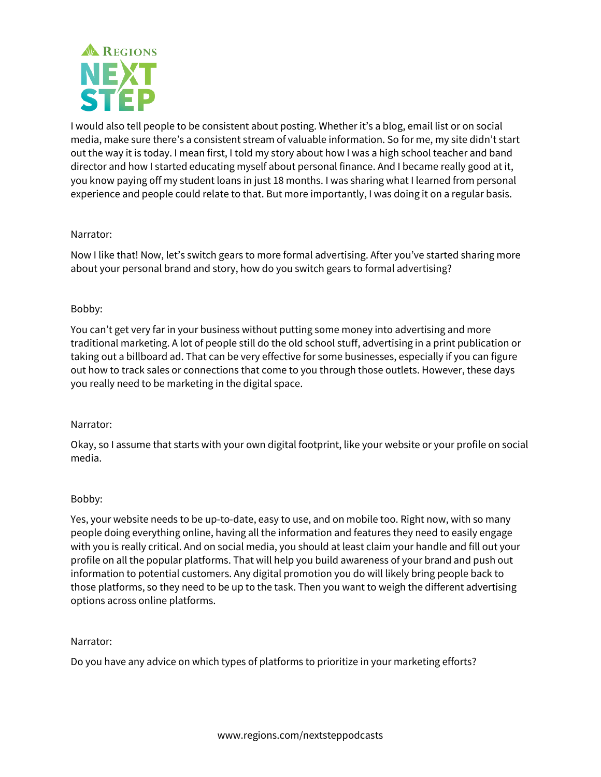

I would also tell people to be consistent about posting. Whether it's a blog, email list or on social media, make sure there's a consistent stream of valuable information. So for me, my site didn't start out the way it is today. I mean first, I told my story about how I was a high school teacher and band director and how I started educating myself about personal finance. And I became really good at it, you know paying off my student loans in just 18 months. I was sharing what I learned from personal experience and people could relate to that. But more importantly, I was doing it on a regular basis.

# Narrator:

Now I like that! Now, let's switch gears to more formal advertising. After you've started sharing more about your personal brand and story, how do you switch gears to formal advertising?

# Bobby:

You can't get very far in your business without putting some money into advertising and more traditional marketing. A lot of people still do the old school stuff, advertising in a print publication or taking out a billboard ad. That can be very effective for some businesses, especially if you can figure out how to track sales or connections that come to you through those outlets. However, these days you really need to be marketing in the digital space.

#### Narrator:

Okay, so I assume that starts with your own digital footprint, like your website or your profile on social media.

#### Bobby:

Yes, your website needs to be up-to-date, easy to use, and on mobile too. Right now, with so many people doing everything online, having all the information and features they need to easily engage with you is really critical. And on social media, you should at least claim your handle and fill out your profile on all the popular platforms. That will help you build awareness of your brand and push out information to potential customers. Any digital promotion you do will likely bring people back to those platforms, so they need to be up to the task. Then you want to weigh the different advertising options across online platforms.

#### Narrator:

Do you have any advice on which types of platforms to prioritize in your marketing efforts?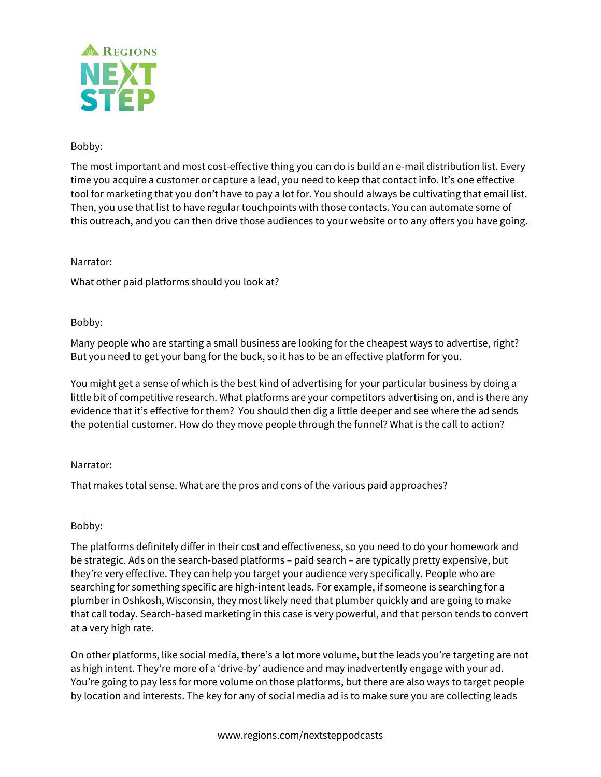

# Bobby:

The most important and most cost-effective thing you can do is build an e-mail distribution list. Every time you acquire a customer or capture a lead, you need to keep that contact info. It's one effective tool for marketing that you don't have to pay a lot for. You should always be cultivating that email list. Then, you use that list to have regular touchpoints with those contacts. You can automate some of this outreach, and you can then drive those audiences to your website or to any offers you have going.

# Narrator:

What other paid platforms should you look at?

# Bobby:

Many people who are starting a small business are looking for the cheapest ways to advertise, right? But you need to get your bang for the buck, so it has to be an effective platform for you.

You might get a sense of which is the best kind of advertising for your particular business by doing a little bit of competitive research. What platforms are your competitors advertising on, and is there any evidence that it's effective for them? You should then dig a little deeper and see where the ad sends the potential customer. How do they move people through the funnel? What is the call to action?

# Narrator:

That makes total sense. What are the pros and cons of the various paid approaches?

# Bobby:

The platforms definitely differ in their cost and effectiveness, so you need to do your homework and be strategic. Ads on the search-based platforms – paid search – are typically pretty expensive, but they're very effective. They can help you target your audience very specifically. People who are searching for something specific are high-intent leads. For example, if someone is searching for a plumber in Oshkosh, Wisconsin, they most likely need that plumber quickly and are going to make that call today. Search-based marketing in this case is very powerful, and that person tends to convert at a very high rate.

On other platforms, like social media, there's a lot more volume, but the leads you're targeting are not as high intent. They're more of a 'drive-by' audience and may inadvertently engage with your ad. You're going to pay less for more volume on those platforms, but there are also ways to target people by location and interests. The key for any of social media ad is to make sure you are collecting leads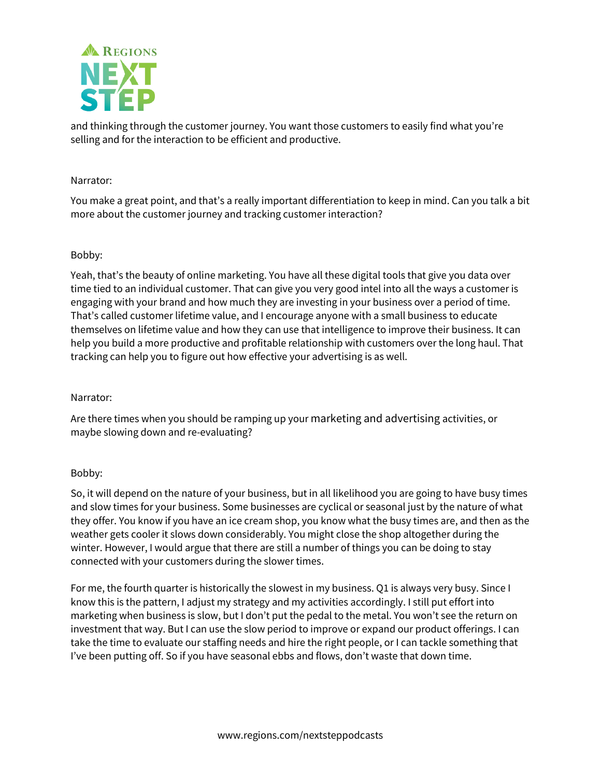

and thinking through the customer journey. You want those customers to easily find what you're selling and for the interaction to be efficient and productive.

# Narrator:

You make a great point, and that's a really important differentiation to keep in mind. Can you talk a bit more about the customer journey and tracking customer interaction?

# Bobby:

Yeah, that's the beauty of online marketing. You have all these digital tools that give you data over time tied to an individual customer. That can give you very good intel into all the ways a customer is engaging with your brand and how much they are investing in your business over a period of time. That's called customer lifetime value, and I encourage anyone with a small business to educate themselves on lifetime value and how they can use that intelligence to improve their business. It can help you build a more productive and profitable relationship with customers over the long haul. That tracking can help you to figure out how effective your advertising is as well.

# Narrator:

Are there times when you should be ramping up your marketing and advertising activities, or maybe slowing down and re-evaluating?

# Bobby:

So, it will depend on the nature of your business, but in all likelihood you are going to have busy times and slow times for your business. Some businesses are cyclical or seasonal just by the nature of what they offer. You know if you have an ice cream shop, you know what the busy times are, and then as the weather gets cooler it slows down considerably. You might close the shop altogether during the winter. However, I would argue that there are still a number of things you can be doing to stay connected with your customers during the slower times.

For me, the fourth quarter is historically the slowest in my business. Q1 is always very busy. Since I know this is the pattern, I adjust my strategy and my activities accordingly. I still put effort into marketing when business is slow, but I don't put the pedal to the metal. You won't see the return on investment that way. But I can use the slow period to improve or expand our product offerings. I can take the time to evaluate our staffing needs and hire the right people, or I can tackle something that I've been putting off. So if you have seasonal ebbs and flows, don't waste that down time.